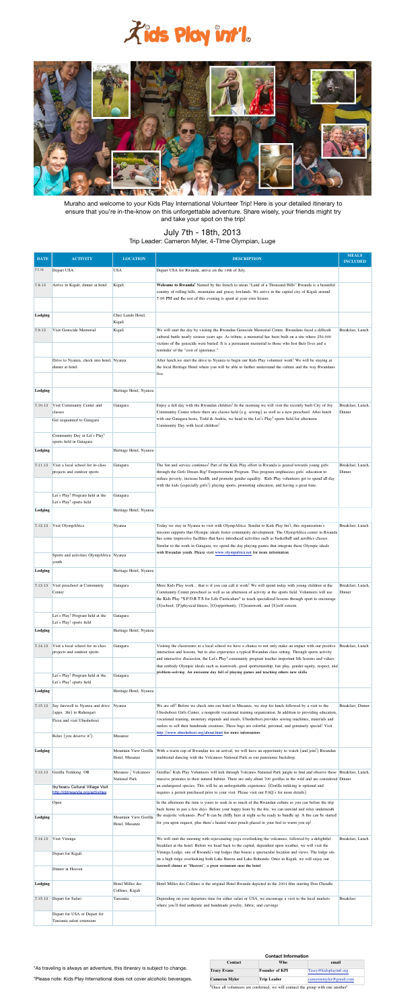| <b>DATE</b>    | <b>ACTIVITY</b>                                                     | <b>LOCATION</b>                             | <b>DESCRIPTION</b>                                                                                                                                                                                                                               | <b>MEALS</b><br><b>INCLUDED</b> |
|----------------|---------------------------------------------------------------------|---------------------------------------------|--------------------------------------------------------------------------------------------------------------------------------------------------------------------------------------------------------------------------------------------------|---------------------------------|
| 7.7.13         | Depart USA                                                          | <b>USA</b>                                  | Depart USA for Rwanda, arrive on the 19th of July.                                                                                                                                                                                               |                                 |
| 7.8.13         | Arrive in Kigali, dinner at hotel                                   | Kigali                                      | Welcome to Rwanda! Named by the french to mean "Land of a Thousand Hills" Rwanda is a beautiful                                                                                                                                                  |                                 |
|                |                                                                     |                                             | country of rolling hills, mountains and grassy lowlands. We arrive in the capital city of Kigali around<br>7:00 PM and the rest of this evening is spent at your own leisure.                                                                    |                                 |
|                |                                                                     |                                             |                                                                                                                                                                                                                                                  |                                 |
| <b>Lodging</b> |                                                                     | Chez Lando Hotel,<br>Kigali                 |                                                                                                                                                                                                                                                  |                                 |
| 7.9.13         | Visit Genocide Memorial                                             | Kigali                                      | We will start the day by visiting the Rwandan Genocide Memorial Centre. Rwandans faced a difficult                                                                                                                                               | Breakfast, Lunch                |
|                |                                                                     |                                             | cultural battle nearly sixteen years ago. As tribute, a memorial has been built on a site where 250,000<br>victims of the genocide were buried. It is a permanent memorial to those who lost their lives and a                                   |                                 |
|                | Drive to Nyanza, check into hotel, Nyanza                           |                                             | reminder of the "cost of ignorance."<br>After lunch, we start the drive to Nyanza to begin our Kids Play volunteer work! We will be staying at                                                                                                   |                                 |
|                | dinner at hotel.                                                    |                                             | the local Heritage Hotel where you will be able to further understand the culture and the way Rwandans                                                                                                                                           |                                 |
|                |                                                                     |                                             | live.                                                                                                                                                                                                                                            |                                 |
| Lodging        |                                                                     | Heritage Hotel, Nyanza                      |                                                                                                                                                                                                                                                  |                                 |
| 7.10.13        | Visit Community Center and                                          | Gatagara                                    | Enjoy a full day with the Rwandan children! In the morning we will visit the recently built City of Joy                                                                                                                                          | Breakfast, Lunch,               |
|                | classes<br>Get acquainted to Gatagara                               |                                             | Community Center where there are classes held (e.g. sewing) as well as a new preschool. After lunch<br>with our Gatagara hosts, Todd & Andria, we head to the Let's Play! sports field for afternoon                                             | Dinner                          |
|                |                                                                     |                                             | Community Day with local children!                                                                                                                                                                                                               |                                 |
|                | Community Day at Let's Play!<br>sports field in Gatagara            |                                             |                                                                                                                                                                                                                                                  |                                 |
| <b>Lodging</b> |                                                                     | Heritage Hotel, Nyanza                      |                                                                                                                                                                                                                                                  |                                 |
| 7.11.13        | Visit a local school for in-class                                   | Gatagara                                    | The fun and service continues! Part of the Kids Play effort in Rwanda is geared towards young girls                                                                                                                                              | Breakfast, Lunch,               |
|                | projects and outdoor sports                                         |                                             | through the Girls Dream Big! Empowerment Program. This program emphasizes girls' education to<br>reduce poverty, increase health, and promote gender equality. Kids Play volunteers get to spend all day                                         | Dinner                          |
|                | Let's Play! Program held at the                                     | Gatagara                                    | with the kids (especially girls!) playing sports, promoting education, and having a great time.                                                                                                                                                  |                                 |
|                | Let's Play! sports field                                            |                                             |                                                                                                                                                                                                                                                  |                                 |
| Lodging        |                                                                     | Heritage Hotel, Nyanza                      |                                                                                                                                                                                                                                                  |                                 |
| 7.12.13        | Visit OlympAfrica                                                   | Nyanza                                      | Today we stay in Nyanza to visit with OlympAfrica. Similar to Kids Play Int'l, this organization's<br>mission supports that Olympic ideals foster community development. The OlympAfrica center in Rwanda                                        | Breakfast, Lunch                |
|                |                                                                     |                                             | has some impressive facilities that have introduced activities such as basketball and aerobics classes.                                                                                                                                          |                                 |
|                | Sports and activities OlympAfrica Nyanza                            |                                             | Similar to the work in Gatagara, we spend the day playing games that integrate these Olympic ideals<br>with Rwandan youth. Please visit www.olympafrica.net for more information.                                                                |                                 |
|                | youth                                                               |                                             |                                                                                                                                                                                                                                                  |                                 |
| <b>Lodging</b> |                                                                     | Heritage Hotel, Nyanza                      |                                                                                                                                                                                                                                                  |                                 |
| 7.13.13        | Visit preschool at Community<br>Center                              | Gatagara                                    | More Kids Play work that is if you can call it work! We will spend today with young children at the<br>Community Center preschool as well as an afternoon of activity at the sports field. Volunteers will use                                   | Breakfast, Lunch,<br>Dinner     |
|                |                                                                     |                                             | the Kids Play "S.P.O.R.T.S for Life Curriculum" to teach specialized lessons through sport to encourage<br>$(S)$ school, $(P)$ physical fitness, $(O)$ opportunity, $(T)$ teamwork, and $(S)$ self esteem.                                       |                                 |
|                | Let's Play! Program held at the                                     | Gatagara                                    |                                                                                                                                                                                                                                                  |                                 |
| Lodging        | Let's Play! sports field                                            | Heritage Hotel, Nyanza                      |                                                                                                                                                                                                                                                  |                                 |
|                |                                                                     |                                             |                                                                                                                                                                                                                                                  |                                 |
| 7.14.13        | Visit a local school for in-class<br>projects and outdoor sports    | Gatagara                                    | Visiting the classrooms at a local school we have a chance to not only make an impact with our positive<br>interaction and lessons, but to also experience a typical Rwandan class setting. Through sports activity                              | Breakfast, Lunch                |
|                |                                                                     |                                             | and interactive discussion, the Let's Play! community program teaches important life lessons and values<br>that embody Olympic ideals such as teamwork, good sportsmanship, fair play, gender equity, respect, and                               |                                 |
|                | Let's Play! Program held at the                                     | Gatagara                                    | problem-solving. An awesome day full of playing games and teaching others new skills.                                                                                                                                                            |                                 |
| Lodging        | Let's Play! sports field                                            | Heritage Hotel, Nyanza                      |                                                                                                                                                                                                                                                  |                                 |
| 7.15.13        | Say farewell to Nyanza and drive Nyanza                             |                                             | We are off! Before we check into our hotel in Musanze, we stop for lunch followed by a visit to the                                                                                                                                              | Breakfast, Dinner               |
|                | (appx. 3hr) to Ruhengari                                            |                                             | Ubushobozi Girls Center, a nonprofit vocational training organization. In addition to providing education,                                                                                                                                       |                                 |
|                | Pizza and visit Ubushobozi                                          |                                             | vocational training, monetary stipends and meals, Ubushobozi provides sewing machines, materials and<br>outlets to sell their handmade creations. These bags are colorful, personal, and genuinely special! Visit                                |                                 |
|                | Relax (you deserve it!).                                            | Musanze                                     | http://www.ubushobozi.org/about.html for more information.                                                                                                                                                                                       |                                 |
| <b>Lodging</b> |                                                                     | Mountain View Gorilla                       | With a warm cup of Rwandan tea on arrival, we will have an opportunity to watch (and join!) Rwandan                                                                                                                                              |                                 |
|                |                                                                     | Hotel, Musanze                              | traditional dancing with the Volcanoes National Park as our panoramic backdrop.                                                                                                                                                                  |                                 |
| 7.13.13        | Gorilla Trekking OR                                                 | Musanze / Volcanoes<br><b>National Park</b> | Gorillas! Kids Play Volunteers will trek through Volcanos National Park jungle to find and observe these Breakfast, Lunch,<br>massive primates in their natural habitat. There are only about 700 gorillas in the wild and are considered Dinner |                                 |
|                | Iby'lwacu Cultural Village Visit<br>http://cbtrwanda.org/activities |                                             | an endangered species. This will be an unforgettable experience. (Gorilla trekking is optional and<br>requires a permit purchased prior to your visit. Please visit our FAQ's for more details)                                                  |                                 |
|                | Open                                                                |                                             | In the afternoon the time is yours to soak in as much of the Rwandan culture as you can before the trip                                                                                                                                          |                                 |
| <b>Lodging</b> |                                                                     | Mountain View Gorilla                       | back home in just a few days. Before your happy hour by the fire, we can unwind and relax underneath<br>the majestic volcanoes. Psst! It can be chilly here at night so be ready to bundle up. A fire can be started                             |                                 |
|                |                                                                     | Hotel, Musanze                              | for you upon request, plus there's heated water pouch placed in your bed to warm you up!                                                                                                                                                         |                                 |
| 7.14.13        | Visit Virunga                                                       |                                             | We will start the morning with rejuvenating yoga overlooking the volcanoes, followed by a delightful                                                                                                                                             | Breakfast, Lunch                |
|                | Depart for Kigali                                                   |                                             | breakfast at the hotel. Before we head back to the capital, dependent upon weather, we will visit the<br>Virunga Lodge, one of Rwanda's top lodges that boasts a spectacular location and views. The lodge sits                                  |                                 |
|                |                                                                     |                                             | on a high ridge overlooking both Lake Burera and Lake Ruhondo. Once in Kigali, we will enjoy our<br>farewell dinner at "Heaven", a great restaurant near the hotel.                                                                              |                                 |
|                | Dinner at Heaven                                                    |                                             |                                                                                                                                                                                                                                                  |                                 |
| Lodging        |                                                                     | Hotel Milles des<br>Collines, Kigali        | Hotel Milles des Collines is the original Hotel Rwanda depicted in the 2004 film starring Don Cheadle.                                                                                                                                           |                                 |
| 7.15.13        | Depart for Safari                                                   | Tanzania                                    | Depending on your departure time for either safari or USA, we encourage a visit to the local markets                                                                                                                                             | <b>Breakfast</b>                |
|                | Depart for USA or Depart for                                        |                                             | where you'll find authentic and handmade jewelry, fabric, and carvings.                                                                                                                                                                          |                                 |
|                | Tanzania safari extension                                           |                                             |                                                                                                                                                                                                                                                  |                                 |





Muraho and welcome to your Kids Play International Volunteer Trip! Here is your detailed itinerary to ensure that you're in-the-know on this unforgettable adventure. Share wisely, your friends might try and take your spot on the trip!

# July 7th - 18th, 2013 Trip Leader: Cameron Myler, 4-TIme Olympian, Luge

# \*As traveling is always an adventure, this itinerary is subject to change.

## \*Please note: Kids Play International does not cover alcoholic beverages.

### **Contact Information**

| <b>Contact</b>                                                                  | Who                   | email                  |  |  |  |  |
|---------------------------------------------------------------------------------|-----------------------|------------------------|--|--|--|--|
| <b>Tracy Evans</b>                                                              | <b>Founder of KPI</b> | Tracy@kidsplayintl.org |  |  |  |  |
| <b>Cameron Myler</b>                                                            | Trip Leader           | cameronmyler@gmail.com |  |  |  |  |
| *Once all volunteers are confirmed, we will connect the group with one another! |                       |                        |  |  |  |  |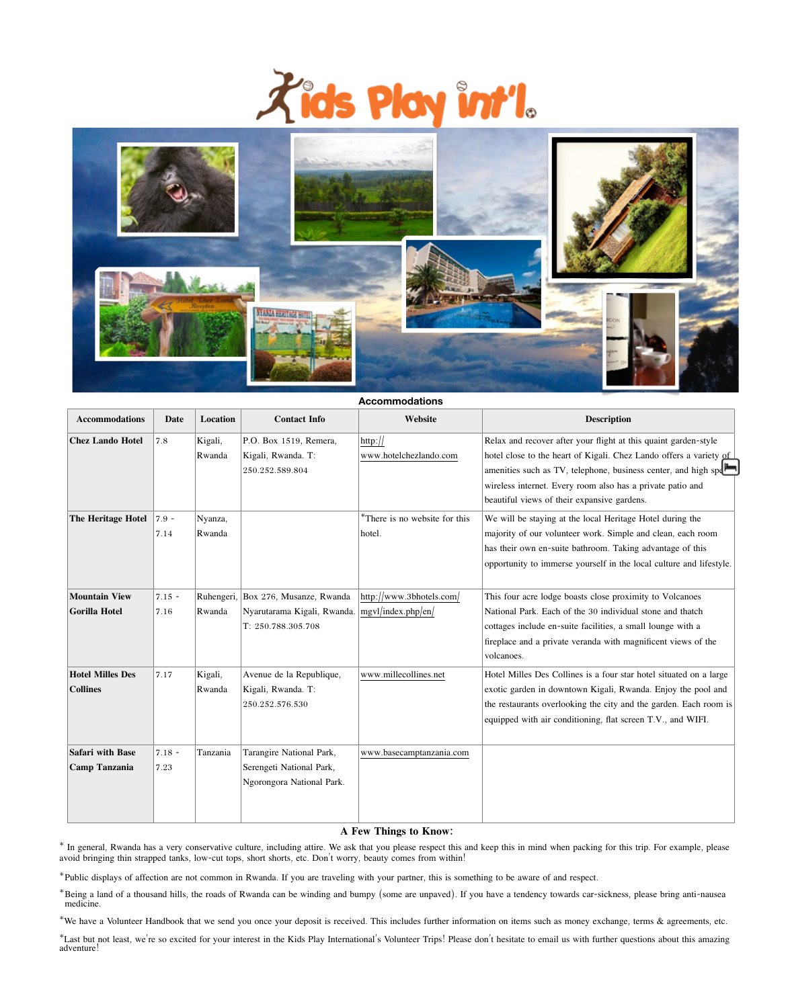



#### **Accommodations**

| <b>Accommodations</b>                           | <b>Date</b>        | <b>Location</b>   | <b>Contact Info</b>                                                                      | Website                                        | <b>Description</b>                                                                                                                                                                                                                                                                                                   |
|-------------------------------------------------|--------------------|-------------------|------------------------------------------------------------------------------------------|------------------------------------------------|----------------------------------------------------------------------------------------------------------------------------------------------------------------------------------------------------------------------------------------------------------------------------------------------------------------------|
| <b>Chez Lando Hotel</b>                         | 7.8                | Kigali,<br>Rwanda | P.O. Box 1519, Remera,<br>Kigali, Rwanda. T:<br>250.252.589.804                          | http://<br>www.hotelchezlando.com              | Relax and recover after your flight at this quaint garden-style<br>hotel close to the heart of Kigali. Chez Lando offers a variety of<br>amenities such as TV, telephone, business center, and high spe<br>wireless internet. Every room also has a private patio and<br>beautiful views of their expansive gardens. |
| <b>The Heritage Hotel</b>                       | $ 7.9 -$<br>7.14   | Nyanza,<br>Rwanda |                                                                                          | *There is no website for this<br>hotel.        | We will be staying at the local Heritage Hotel during the<br>majority of our volunteer work. Simple and clean, each room<br>has their own en-suite bathroom. Taking advantage of this<br>opportunity to immerse yourself in the local culture and lifestyle.                                                         |
| <b>Mountain View</b><br>Gorilla Hotel           | $ 7.15 -$<br> 7.16 | Rwanda            | Ruhengeri, Box 276, Musanze, Rwanda<br>Nyarutarama Kigali, Rwanda.<br>T: 250.788.305.708 | http://www.3bhotels.com/<br>mgvl/index.php/en/ | This four acre lodge boasts close proximity to Volcanoes<br>National Park. Each of the 30 individual stone and thatch<br>cottages include en-suite facilities, a small lounge with a<br>fireplace and a private veranda with magnificent views of the<br>volcanoes.                                                  |
| <b>Hotel Milles Des</b><br><b>Collines</b>      | 7.17               | Kigali,<br>Rwanda | Avenue de la Republique,<br>Kigali, Rwanda. T:<br>250.252.576.530                        | www.millecollines.net                          | Hotel Milles Des Collines is a four star hotel situated on a large<br>exotic garden in downtown Kigali, Rwanda. Enjoy the pool and<br>the restaurants overlooking the city and the garden. Each room is<br>equipped with air conditioning, flat screen T.V., and WIFI.                                               |
| <b>Safari with Base</b><br><b>Camp Tanzania</b> | $7.18 -$<br>7.23   | Tanzania          | Tarangire National Park,<br>Serengeti National Park,<br>Ngorongora National Park.        | www.basecamptanzania.com                       |                                                                                                                                                                                                                                                                                                                      |

<sup>\*</sup>Last but not least, we're so excited for your interest in the Kids Play International's Volunteer Trips! Please don't hesitate to email us with further questions about this amazing adventure!

## **A Few Things to Know:**

\* In general, Rwanda has a very conservative culture, including attire. We ask that you please respect this and keep this in mind when packing for this trip. For example, please avoid bringing thin strapped tanks, low-cut tops, short shorts, etc. Don't worry, beauty comes from within!

\*Public displays of affection are not common in Rwanda. If you are traveling with your partner, this is something to be aware of and respect.

\*Being a land of a thousand hills, the roads of Rwanda can be winding and bumpy (some are unpaved). If you have a tendency towards car-sickness, please bring anti-nausea medicine.

\*We have a Volunteer Handbook that we send you once your deposit is received. This includes further information on items such as money exchange, terms & agreements, etc.